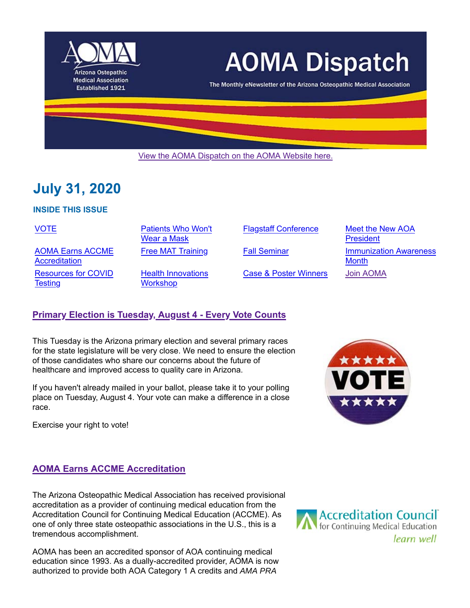

# **AOMA Dispatch**

The Monthly eNewsletter of the Arizona Osteopathic Medical Association

View the AOMA Dispatch on the AOMA Website here.

# **July 31, 2020**

#### **INSIDE THIS ISSUE**

VOTE **Patients Who Won't** 

AOMA Earns ACCME **Accreditation** Resources for COVID **Testing** 

Wear a Mask

Health Innovations **Workshop** 

Case & Poster Winners Join AOMA

Flagstaff Conference Meet the New AOA **President** Free MAT Training **Fall Seminar** Immunization Awareness **Month** 

#### **Primary Election is Tuesday, August 4 - Every Vote Counts**

This Tuesday is the Arizona primary election and several primary races for the state legislature will be very close. We need to ensure the election of those candidates who share our concerns about the future of healthcare and improved access to quality care in Arizona.

If you haven't already mailed in your ballot, please take it to your polling place on Tuesday, August 4. Your vote can make a difference in a close race.

Exercise your right to vote!



#### **AOMA Earns ACCME Accreditation**

The Arizona Osteopathic Medical Association has received provisional accreditation as a provider of continuing medical education from the Accreditation Council for Continuing Medical Education (ACCME). As one of only three state osteopathic associations in the U.S., this is a tremendous accomplishment.

AOMA has been an accredited sponsor of AOA continuing medical education since 1993. As a dually-accredited provider, AOMA is now authorized to provide both AOA Category 1 A credits and *AMA PRA*

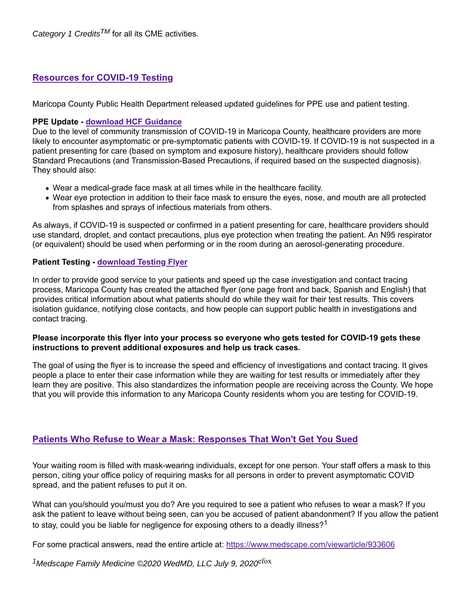*Category 1 CreditsTM* for all its CME activities.

### **Resources for COVID-19 Testing**

Maricopa County Public Health Department released updated guidelines for PPE use and patient testing.

#### **PPE Update - download HCF Guidance**

Due to the level of community transmission of COVID-19 in Maricopa County, healthcare providers are more likely to encounter asymptomatic or pre-symptomatic patients with COVID-19. If COVID-19 is not suspected in a patient presenting for care (based on symptom and exposure history), healthcare providers should follow Standard Precautions (and Transmission-Based Precautions, if required based on the suspected diagnosis). They should also:

- Wear a medical-grade face mask at all times while in the healthcare facility.
- Wear eye protection in addition to their face mask to ensure the eyes, nose, and mouth are all protected from splashes and sprays of infectious materials from others.

As always, if COVID-19 is suspected or confirmed in a patient presenting for care, healthcare providers should use standard, droplet, and contact precautions, plus eye protection when treating the patient. An N95 respirator (or equivalent) should be used when performing or in the room during an aerosol-generating procedure.

#### **Patient Testing - download Testing Flyer**

In order to provide good service to your patients and speed up the case investigation and contact tracing process, Maricopa County has created the attached flyer (one page front and back, Spanish and English) that provides critical information about what patients should do while they wait for their test results. This covers isolation guidance, notifying close contacts, and how people can support public health in investigations and contact tracing.

#### **Please incorporate this flyer into your process so everyone who gets tested for COVID-19 gets these instructions to prevent additional exposures and help us track cases.**

The goal of using the flyer is to increase the speed and efficiency of investigations and contact tracing. It gives people a place to enter their case information while they are waiting for test results or immediately after they learn they are positive. This also standardizes the information people are receiving across the County. We hope that you will provide this information to any Maricopa County residents whom you are testing for COVID-19.

## **Patients Who Refuse to Wear a Mask: Responses That Won't Get You Sued**

Your waiting room is filled with mask-wearing individuals, except for one person. Your staff offers a mask to this person, citing your office policy of requiring masks for all persons in order to prevent asymptomatic COVID spread, and the patient refuses to put it on.

What can you/should you/must you do? Are you required to see a patient who refuses to wear a mask? If you ask the patient to leave without being seen, can you be accused of patient abandonment? If you allow the patient to stay, could you be liable for negligence for exposing others to a deadly illness?<sup>1</sup>

For some practical answers, read the entire article at: https://www.medscape.com/viewarticle/933606

*<sup>1</sup>Medscape Family Medicine ©2020 WedMD, LLC July 9, 2020*<sup>efox</sup>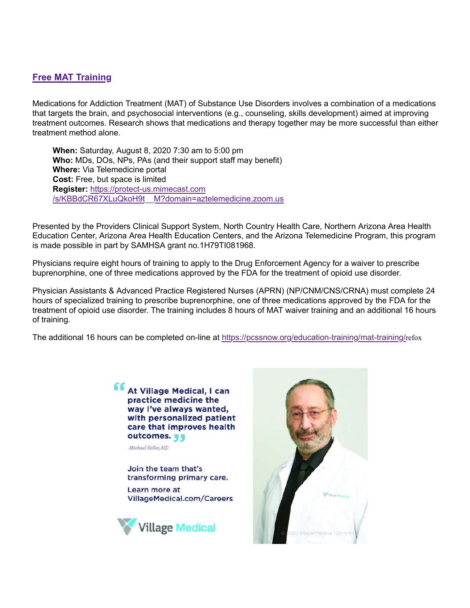#### **Free MAT Training**

Medications for Addiction Treatment (MAT) of Substance Use Disorders involves a combination of a medications that targets the brain, and psychosocial interventions (e.g., counseling, skills development) aimed at improving treatment outcomes. Research shows that medications and therapy together may be more successful than either treatment method alone.

**When:** Saturday, August 8, 2020 7:30 am to 5:00 pm **Who:** MDs, DOs, NPs, PAs (and their support staff may benefit) **Where:** Via Telemedicine portal **Cost:** Free, but space is limited **Register:** https://protect-us.mimecast.com /s/KBBdCR67XLuQkoH9t\_\_M?domain=aztelemedicine.zoom.us

Presented by the Providers Clinical Support System, North Country Health Care, Northern Arizona Area Health Education Center, Arizona Area Health Education Centers, and the Arizona Telemedicine Program, this program is made possible in part by SAMHSA grant no.1H79TI081968.

Physicians require eight hours of training to apply to the Drug Enforcement Agency for a waiver to prescribe buprenorphine, one of three medications approved by the FDA for the treatment of opioid use disorder.

Physician Assistants & Advanced Practice Registered Nurses (APRN) (NP/CNM/CNS/CRNA) must complete 24 hours of specialized training to prescribe buprenorphine, one of three medications approved by the FDA for the treatment of opioid use disorder. The training includes 8 hours of MAT waiver training and an additional 16 hours of training.

The additional 16 hours can be completed on-line at https://pcssnow.org/education-training/mat-training/refox

**At Village Medical, I can** practice medicine the way I've always wanted, with personalized patient care that improves health outcomes.

Michael Keller, MD

Join the team that's transforming primary care.

Learn more at VillageMedical.com/Careers



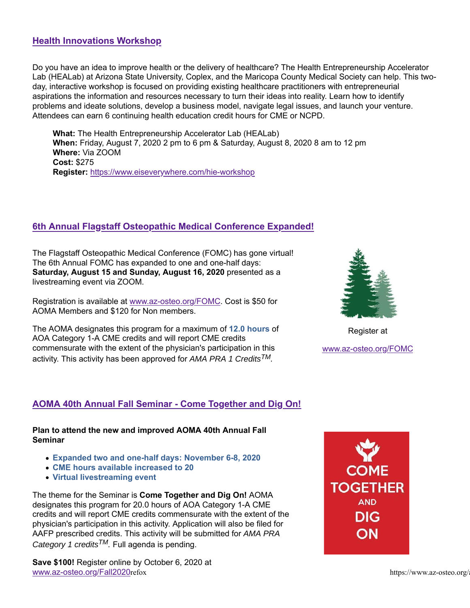### **Health Innovations Workshop**

Do you have an idea to improve health or the delivery of healthcare? The Health Entrepreneurship Accelerator Lab (HEALab) at Arizona State University, Coplex, and the Maricopa County Medical Society can help. This twoday, interactive workshop is focused on providing existing healthcare practitioners with entrepreneurial aspirations the information and resources necessary to turn their ideas into reality. Learn how to identify problems and ideate solutions, develop a business model, navigate legal issues, and launch your venture. Attendees can earn 6 continuing health education credit hours for CME or NCPD.

**What:** The Health Entrepreneurship Accelerator Lab (HEALab) **When:** Friday, August 7, 2020 2 pm to 6 pm & Saturday, August 8, 2020 8 am to 12 pm **Where:** Via ZOOM **Cost:** \$275 **Register:** https://www.eiseverywhere.com/hie-workshop

# **6th Annual Flagstaff Osteopathic Medical Conference Expanded!**

The Flagstaff Osteopathic Medical Conference (FOMC) has gone virtual! The 6th Annual FOMC has expanded to one and one-half days: **Saturday, August 15 and Sunday, August 16, 2020** presented as a livestreaming event via ZOOM.

Registration is available at www.az-osteo.org/FOMC. Cost is \$50 for AOMA Members and \$120 for Non members.

The AOMA designates this program for a maximum of **12.0 hours** of AOA Category 1-A CME credits and will report CME credits commensurate with the extent of the physician's participation in this activity. This activity has been approved for *AMA PRA 1 CreditsTM.*



Register at www.az-osteo.org/FOMC

# **AOMA 40th Annual Fall Seminar - Come Together and Dig On!**

**Plan to attend the new and improved AOMA 40th Annual Fall Seminar**

- **Expanded two and one-half days: November 6-8, 2020**
- **CME hours available increased to 20**
- **Virtual livestreaming event**

The theme for the Seminar is **Come Together and Dig On!** AOMA designates this program for 20.0 hours of AOA Category 1-A CME credits and will report CME credits commensurate with the extent of the physician's participation in this activity. Application will also be filed for AAFP prescribed credits. This activity will be submitted for *AMA PRA Category 1 creditsTM.* Full agenda is pending.

**Save \$100!** Register online by October 6, 2020 at www.az-osteo.org/Fall2020refox https://www.az-osteo.org/

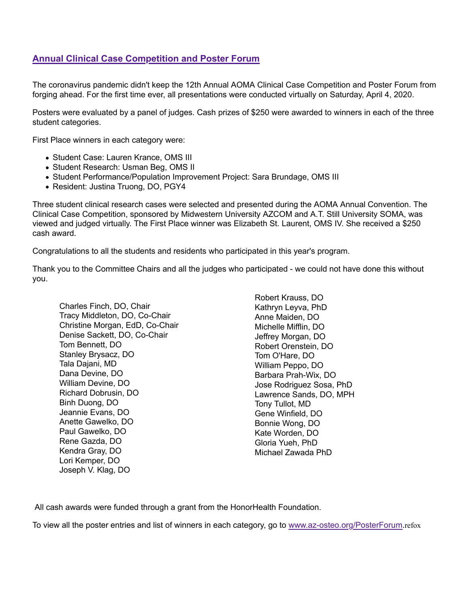# **Annual Clinical Case Competition and Poster Forum**

The coronavirus pandemic didn't keep the 12th Annual AOMA Clinical Case Competition and Poster Forum from forging ahead. For the first time ever, all presentations were conducted virtually on Saturday, April 4, 2020.

Posters were evaluated by a panel of judges. Cash prizes of \$250 were awarded to winners in each of the three student categories.

First Place winners in each category were:

- Student Case: Lauren Krance, OMS III
- Student Research: Usman Beg, OMS II
- Student Performance/Population Improvement Project: Sara Brundage, OMS III
- Resident: Justina Truong, DO, PGY4

Three student clinical research cases were selected and presented during the AOMA Annual Convention. The Clinical Case Competition, sponsored by Midwestern University AZCOM and A.T. Still University SOMA, was viewed and judged virtually. The First Place winner was Elizabeth St. Laurent, OMS IV. She received a \$250 cash award.

Congratulations to all the students and residents who participated in this year's program.

Thank you to the Committee Chairs and all the judges who participated - we could not have done this without you.

Charles Finch, DO, Chair Tracy Middleton, DO, Co-Chair Christine Morgan, EdD, Co-Chair Denise Sackett, DO, Co-Chair Tom Bennett, DO Stanley Brysacz, DO Tala Dajani, MD Dana Devine, DO William Devine, DO Richard Dobrusin, DO Binh Duong, DO Jeannie Evans, DO Anette Gawelko, DO Paul Gawelko, DO Rene Gazda, DO Kendra Gray, DO Lori Kemper, DO Joseph V. Klag, DO

Robert Krauss, DO Kathryn Leyva, PhD Anne Maiden, DO Michelle Mifflin, DO Jeffrey Morgan, DO Robert Orenstein, DO Tom O'Hare, DO William Peppo, DO Barbara Prah-Wix, DO Jose Rodriguez Sosa, PhD Lawrence Sands, DO, MPH Tony Tullot, MD Gene Winfield, DO Bonnie Wong, DO Kate Worden, DO Gloria Yueh, PhD Michael Zawada PhD

All cash awards were funded through a grant from the HonorHealth Foundation.

To view all the poster entries and list of winners in each category, go to www.az-osteo.org/PosterForum.refox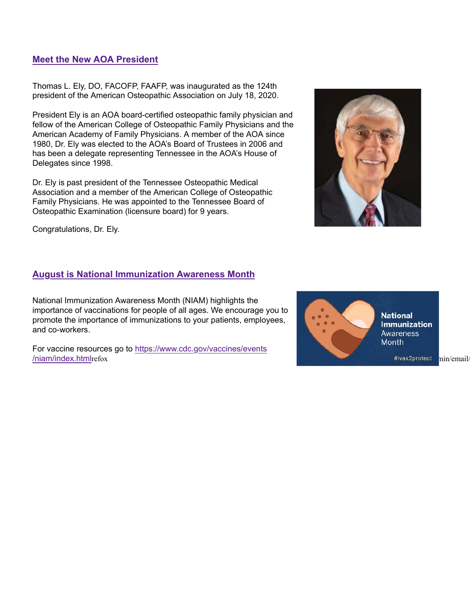#### **Meet the New AOA President**

Thomas L. Ely, DO, FACOFP, FAAFP, was inaugurated as the 124th president of the American Osteopathic Association on July 18, 2020.

President Ely is an AOA board-certified osteopathic family physician and fellow of the American College of Osteopathic Family Physicians and the American Academy of Family Physicians. A member of the AOA since 1980, Dr. Ely was elected to the AOA's Board of Trustees in 2006 and has been a delegate representing Tennessee in the AOA's House of Delegates since 1998.

Dr. Ely is past president of the Tennessee Osteopathic Medical Association and a member of the American College of Osteopathic Family Physicians. He was appointed to the Tennessee Board of Osteopathic Examination (licensure board) for 9 years.



# **August is National Immunization Awareness Month**

National Immunization Awareness Month (NIAM) highlights the importance of vaccinations for people of all ages. We encourage you to promote the importance of immunizations to your patients, employees, and co-workers.

For vaccine resources go to https://www.cdc.gov/vaccines/events /niam/index.htmlrefox https://www.az-osteo.org/administration/index.htmlrefox/markupId=47211112111211211211211



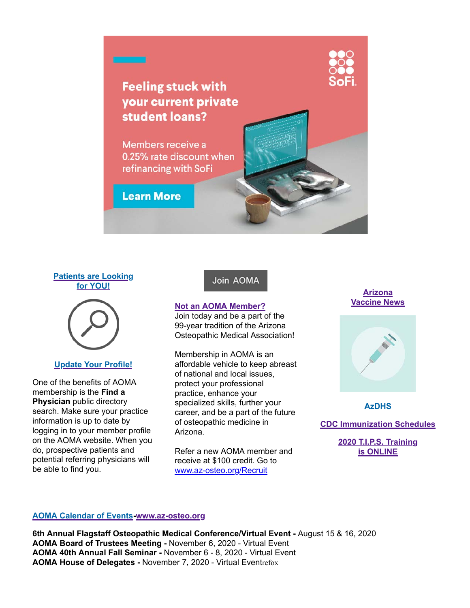





#### **Update Your Profile!**

One of the benefits of AOMA membership is the **Find a Physician** public directory search. Make sure your practice information is up to date by logging in to your member profile on the AOMA website. When you do, prospective patients and potential referring physicians will be able to find you.

#### Join AOMA

#### **Not an AOMA Member?**

Join today and be a part of the 99-year tradition of the Arizona Osteopathic Medical Association!

Membership in AOMA is an affordable vehicle to keep abreast of national and local issues, protect your professional practice, enhance your specialized skills, further your career, and be a part of the future of osteopathic medicine in Arizona.

Refer a new AOMA member and receive at \$100 credit. Go to www.az-osteo.org/Recruit

**Arizona Vaccine News**



**AzDHS**

**CDC Immunization Schedules**

**2020 T.I.P.S. Training is ONLINE**

#### **AOMA Calendar of Events-www.az-osteo.org**

**6th Annual Flagstaff Osteopathic Medical Conference/Virtual Event -** August 15 & 16, 2020 **AOMA Board of Trustees Meeting -** November 6, 2020 - Virtual Event **AOMA 40th Annual Fall Seminar -** November 6 - 8, 2020 - Virtual Event **AOMA House of Delegates - November 7, 2020 - Virtual Eventrefox**